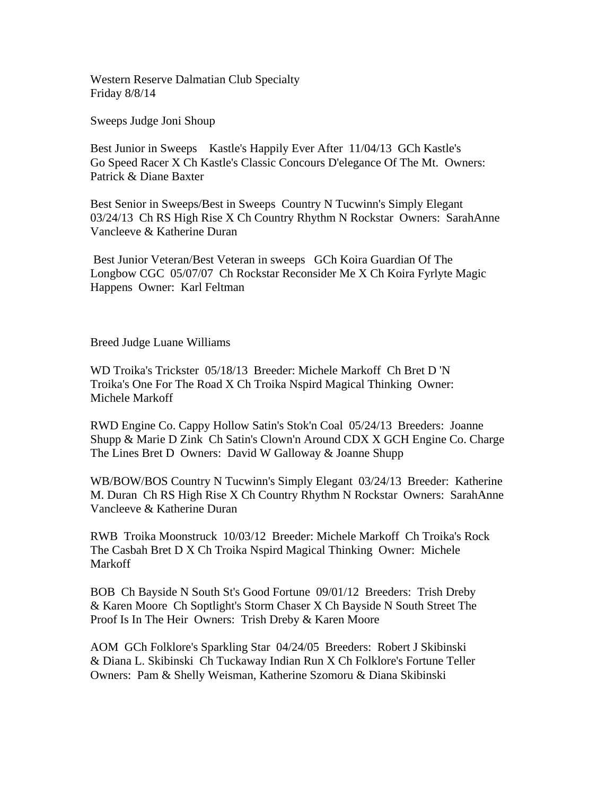Western Reserve Dalmatian Club Specialty Friday 8/8/14

Sweeps Judge Joni Shoup

Best Junior in Sweeps Kastle's Happily Ever After 11/04/13 GCh Kastle's Go Speed Racer X Ch Kastle's Classic Concours D'elegance Of The Mt. Owners: Patrick & Diane Baxter

Best Senior in Sweeps/Best in Sweeps Country N Tucwinn's Simply Elegant 03/24/13 Ch RS High Rise X Ch Country Rhythm N Rockstar Owners: SarahAnne Vancleeve & Katherine Duran

 Best Junior Veteran/Best Veteran in sweeps GCh Koira Guardian Of The Longbow CGC 05/07/07 Ch Rockstar Reconsider Me X Ch Koira Fyrlyte Magic Happens Owner: Karl Feltman

Breed Judge Luane Williams

WD Troika's Trickster 05/18/13 Breeder: Michele Markoff Ch Bret D 'N Troika's One For The Road X Ch Troika Nspird Magical Thinking Owner: Michele Markoff

RWD Engine Co. Cappy Hollow Satin's Stok'n Coal 05/24/13 Breeders: Joanne Shupp & Marie D Zink Ch Satin's Clown'n Around CDX X GCH Engine Co. Charge The Lines Bret D Owners: David W Galloway & Joanne Shupp

WB/BOW/BOS Country N Tucwinn's Simply Elegant 03/24/13 Breeder: Katherine M. Duran Ch RS High Rise X Ch Country Rhythm N Rockstar Owners: SarahAnne Vancleeve & Katherine Duran

RWB Troika Moonstruck 10/03/12 Breeder: Michele Markoff Ch Troika's Rock The Casbah Bret D X Ch Troika Nspird Magical Thinking Owner: Michele Markoff

BOB Ch Bayside N South St's Good Fortune 09/01/12 Breeders: Trish Dreby & Karen Moore Ch Soptlight's Storm Chaser X Ch Bayside N South Street The Proof Is In The Heir Owners: Trish Dreby & Karen Moore

AOM GCh Folklore's Sparkling Star 04/24/05 Breeders: Robert J Skibinski & Diana L. Skibinski Ch Tuckaway Indian Run X Ch Folklore's Fortune Teller Owners: Pam & Shelly Weisman, Katherine Szomoru & Diana Skibinski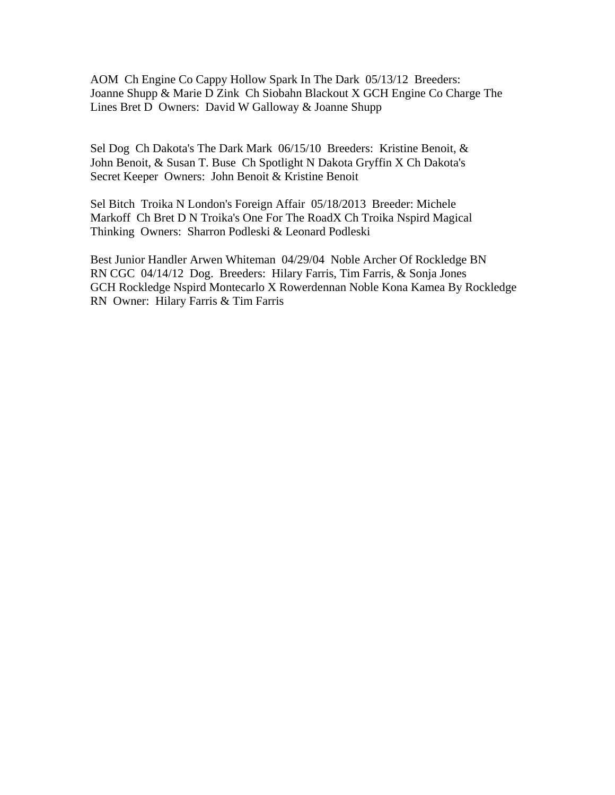AOM Ch Engine Co Cappy Hollow Spark In The Dark 05/13/12 Breeders: Joanne Shupp & Marie D Zink Ch Siobahn Blackout X GCH Engine Co Charge The Lines Bret D Owners: David W Galloway & Joanne Shupp

Sel Dog Ch Dakota's The Dark Mark 06/15/10 Breeders: Kristine Benoit, & John Benoit, & Susan T. Buse Ch Spotlight N Dakota Gryffin X Ch Dakota's Secret Keeper Owners: John Benoit & Kristine Benoit

Sel Bitch Troika N London's Foreign Affair 05/18/2013 Breeder: Michele Markoff Ch Bret D N Troika's One For The RoadX Ch Troika Nspird Magical Thinking Owners: Sharron Podleski & Leonard Podleski

Best Junior Handler Arwen Whiteman 04/29/04 Noble Archer Of Rockledge BN RN CGC 04/14/12 Dog. Breeders: Hilary Farris, Tim Farris, & Sonja Jones GCH Rockledge Nspird Montecarlo X Rowerdennan Noble Kona Kamea By Rockledge RN Owner: Hilary Farris & Tim Farris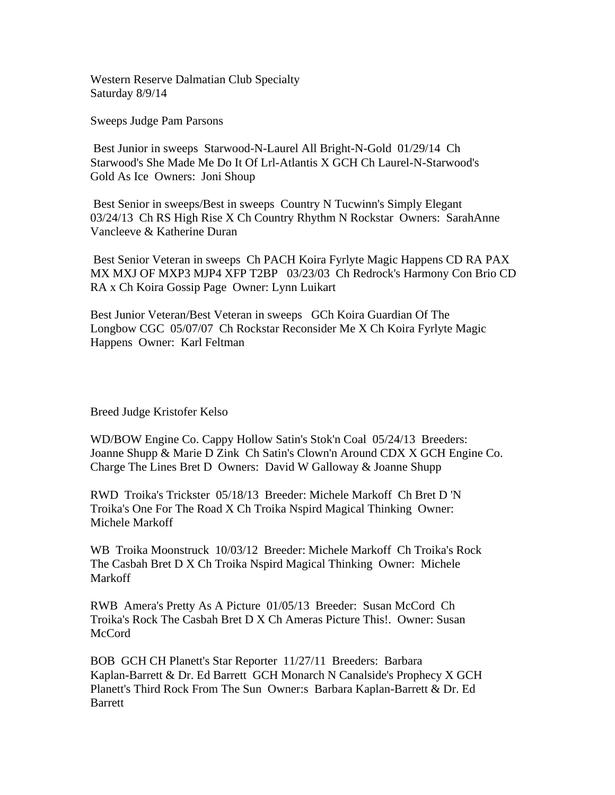Western Reserve Dalmatian Club Specialty Saturday 8/9/14

Sweeps Judge Pam Parsons

 Best Junior in sweeps Starwood-N-Laurel All Bright-N-Gold 01/29/14 Ch Starwood's She Made Me Do It Of Lrl-Atlantis X GCH Ch Laurel-N-Starwood's Gold As Ice Owners: Joni Shoup

 Best Senior in sweeps/Best in sweeps Country N Tucwinn's Simply Elegant 03/24/13 Ch RS High Rise X Ch Country Rhythm N Rockstar Owners: SarahAnne Vancleeve & Katherine Duran

 Best Senior Veteran in sweeps Ch PACH Koira Fyrlyte Magic Happens CD RA PAX MX MXJ OF MXP3 MJP4 XFP T2BP 03/23/03 Ch Redrock's Harmony Con Brio CD RA x Ch Koira Gossip Page Owner: Lynn Luikart

Best Junior Veteran/Best Veteran in sweeps GCh Koira Guardian Of The Longbow CGC 05/07/07 Ch Rockstar Reconsider Me X Ch Koira Fyrlyte Magic Happens Owner: Karl Feltman

Breed Judge Kristofer Kelso

WD/BOW Engine Co. Cappy Hollow Satin's Stok'n Coal 05/24/13 Breeders: Joanne Shupp & Marie D Zink Ch Satin's Clown'n Around CDX X GCH Engine Co. Charge The Lines Bret D Owners: David W Galloway & Joanne Shupp

RWD Troika's Trickster 05/18/13 Breeder: Michele Markoff Ch Bret D 'N Troika's One For The Road X Ch Troika Nspird Magical Thinking Owner: Michele Markoff

WB Troika Moonstruck 10/03/12 Breeder: Michele Markoff Ch Troika's Rock The Casbah Bret D X Ch Troika Nspird Magical Thinking Owner: Michele Markoff

RWB Amera's Pretty As A Picture 01/05/13 Breeder: Susan McCord Ch Troika's Rock The Casbah Bret D X Ch Ameras Picture This!. Owner: Susan McCord

BOB GCH CH Planett's Star Reporter 11/27/11 Breeders: Barbara Kaplan-Barrett & Dr. Ed Barrett GCH Monarch N Canalside's Prophecy X GCH Planett's Third Rock From The Sun Owner:s Barbara Kaplan-Barrett & Dr. Ed Barrett